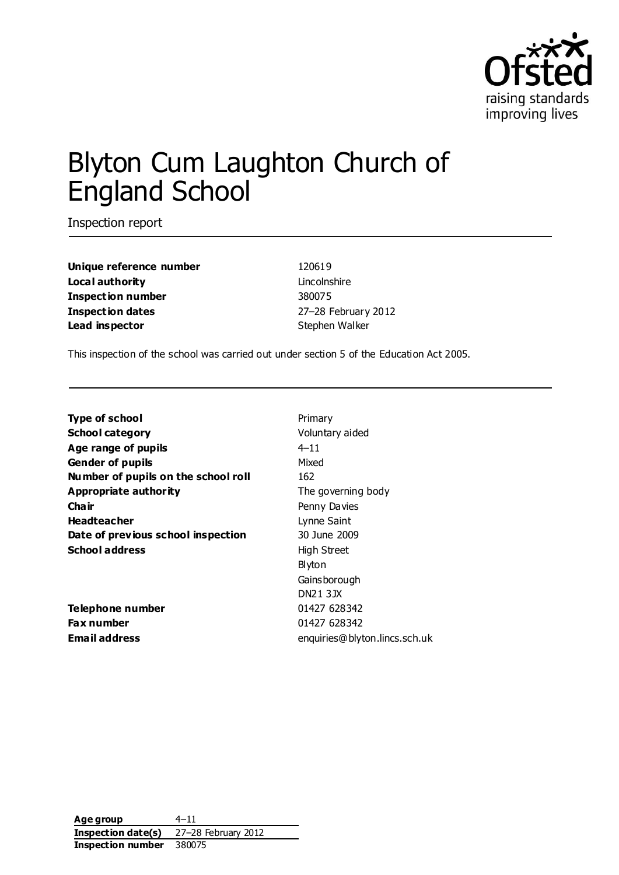

# Blyton Cum Laughton Church of England School

Inspection report

| Unique reference number  |
|--------------------------|
| Local authority          |
| <b>Inspection number</b> |
| Inspection dates         |
| Lead inspector           |

120619 Lincolnshire **Inspection number** 380075 **Inspection dates** 27–28 February 2012 **Stephen Walker** 

This inspection of the school was carried out under section 5 of the Education Act 2005.

| <b>Type of school</b>               | Primary                       |
|-------------------------------------|-------------------------------|
| <b>School category</b>              | Voluntary aided               |
| Age range of pupils                 | $4 - 11$                      |
| <b>Gender of pupils</b>             | Mixed                         |
| Number of pupils on the school roll | 162                           |
| Appropriate authority               | The governing body            |
| Cha ir                              | Penny Davies                  |
| <b>Headteacher</b>                  | Lynne Saint                   |
| Date of previous school inspection  | 30 June 2009                  |
| <b>School address</b>               | <b>High Street</b>            |
|                                     | Blyton                        |
|                                     | Gainsborough                  |
|                                     | <b>DN21 3JX</b>               |
| Telephone number                    | 01427 628342                  |
| Fax number                          | 01427 628342                  |
| <b>Email address</b>                | enquiries@blyton.lincs.sch.uk |
|                                     |                               |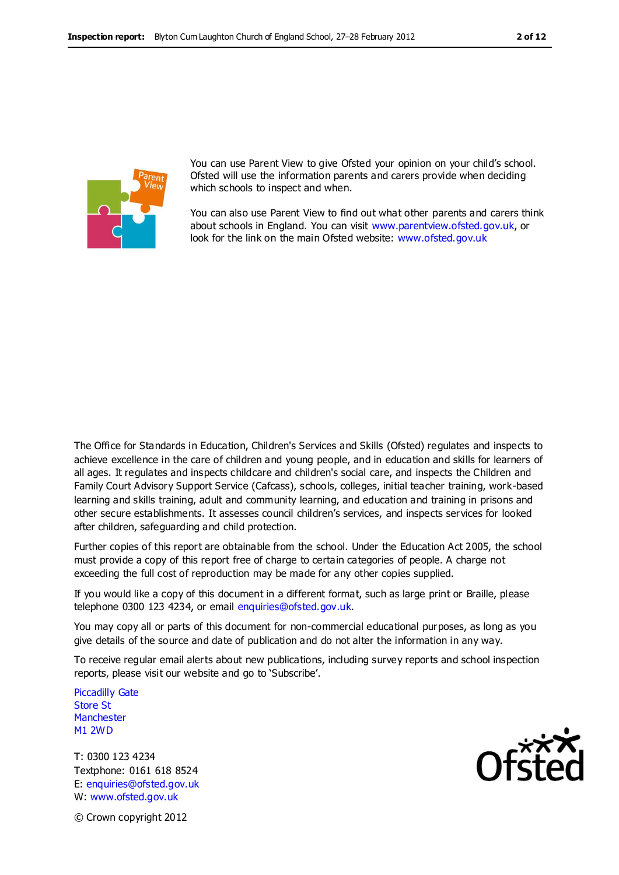

You can use Parent View to give Ofsted your opinion on your child's school. Ofsted will use the information parents and carers provide when deciding which schools to inspect and when.

You can also use Parent View to find out what other parents and carers think about schools in England. You can visit [www.parentview.ofsted.gov.uk,](http://www.parentview.ofsted.gov.uk/) or look for the link on the main Ofsted website: [www.ofsted.gov.uk](http://www.ofsted.gov.uk/)

The Office for Standards in Education, Children's Services and Skills (Ofsted) regulates and inspects to achieve excellence in the care of children and young people, and in education and skills for learners of all ages. It regulates and inspects childcare and children's social care, and inspects the Children and Family Court Advisory Support Service (Cafcass), schools, colleges, initial teacher training, work-based learning and skills training, adult and community learning, and education and training in prisons and other secure establishments. It assesses council children's services, and inspects services for looked after children, safeguarding and child protection.

Further copies of this report are obtainable from the school. Under the Education Act 2005, the school must provide a copy of this report free of charge to certain categories of people. A charge not exceeding the full cost of reproduction may be made for any other copies supplied.

If you would like a copy of this document in a different format, such as large print or Braille, please telephone 0300 123 4234, or email enquiries@ofsted.gov.uk.

You may copy all or parts of this document for non-commercial educational purposes, as long as you give details of the source and date of publication and do not alter the information in any way.

To receive regular email alerts about new publications, including survey reports and school inspection reports, please visit our website and go to 'Subscribe'.

Piccadilly Gate Store St **Manchester** M1 2WD

T: 0300 123 4234 Textphone: 0161 618 8524 E: enquiries@ofsted.gov.uk W: www.ofsted.gov.uk



© Crown copyright 2012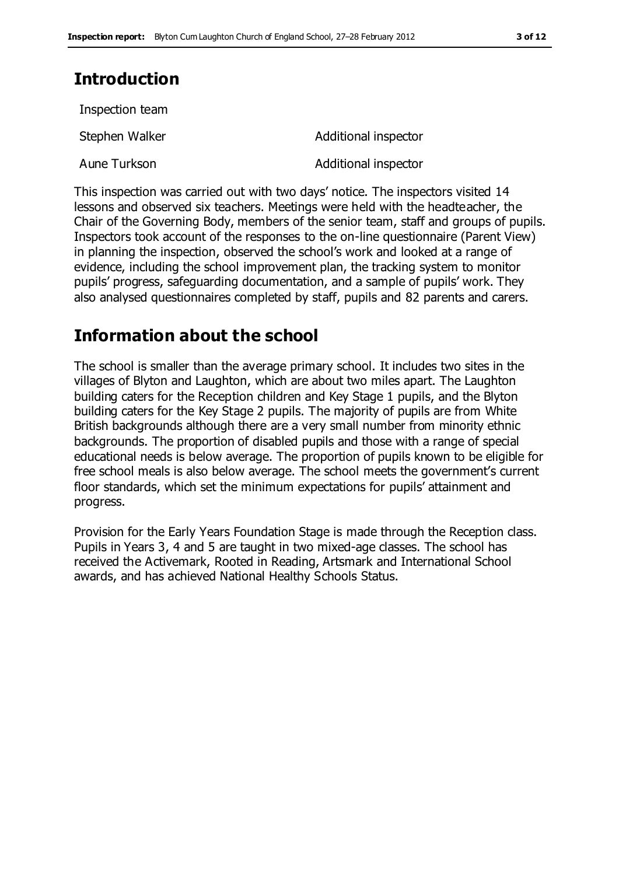# **Introduction**

Incpection toam

| INSPECTION GAIN |                      |
|-----------------|----------------------|
| Stephen Walker  | Additional inspector |
| Aune Turkson    | Additional inspector |

This inspection was carried out with two days' notice. The inspectors visited 14 lessons and observed six teachers. Meetings were held with the headteacher, the Chair of the Governing Body, members of the senior team, staff and groups of pupils. Inspectors took account of the responses to the on-line questionnaire (Parent View) in planning the inspection, observed the school's work and looked at a range of evidence, including the school improvement plan, the tracking system to monitor pupils' progress, safeguarding documentation, and a sample of pupils' work. They also analysed questionnaires completed by staff, pupils and 82 parents and carers.

# **Information about the school**

The school is smaller than the average primary school. It includes two sites in the villages of Blyton and Laughton, which are about two miles apart. The Laughton building caters for the Reception children and Key Stage 1 pupils, and the Blyton building caters for the Key Stage 2 pupils. The majority of pupils are from White British backgrounds although there are a very small number from minority ethnic backgrounds. The proportion of disabled pupils and those with a range of special educational needs is below average. The proportion of pupils known to be eligible for free school meals is also below average. The school meets the government's current floor standards, which set the minimum expectations for pupils' attainment and progress.

Provision for the Early Years Foundation Stage is made through the Reception class. Pupils in Years 3, 4 and 5 are taught in two mixed-age classes. The school has received the Activemark, Rooted in Reading, Artsmark and International School awards, and has achieved National Healthy Schools Status.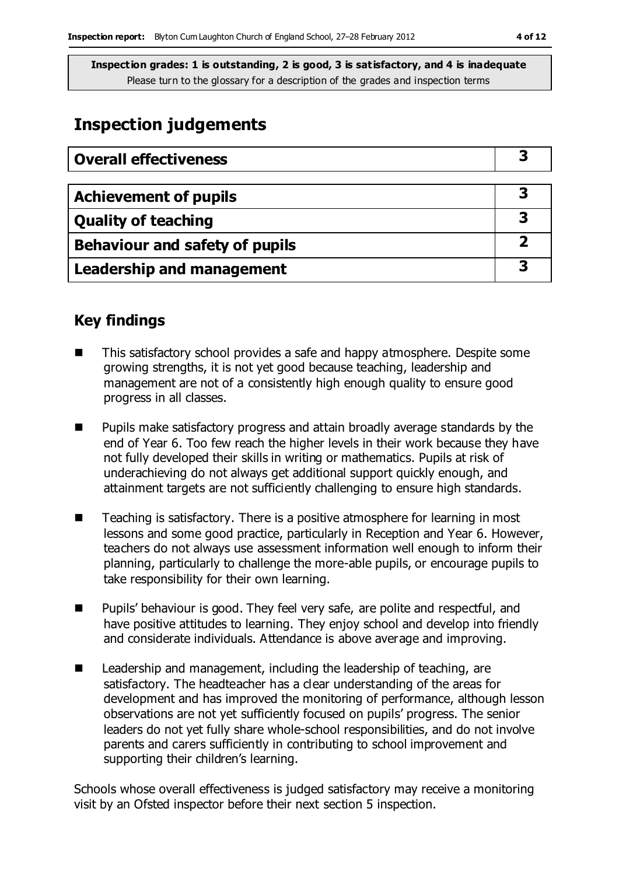# **Inspection judgements**

| <b>Overall effectiveness</b>     |  |
|----------------------------------|--|
|                                  |  |
| <b>Achievement of pupils</b>     |  |
| <b>Quality of teaching</b>       |  |
| Behaviour and safety of pupils   |  |
| <b>Leadership and management</b> |  |

### **Key findings**

- This satisfactory school provides a safe and happy atmosphere. Despite some growing strengths, it is not yet good because teaching, leadership and management are not of a consistently high enough quality to ensure good progress in all classes.
- **Pupils make satisfactory progress and attain broadly average standards by the** end of Year 6. Too few reach the higher levels in their work because they have not fully developed their skills in writing or mathematics. Pupils at risk of underachieving do not always get additional support quickly enough, and attainment targets are not sufficiently challenging to ensure high standards.
- $\blacksquare$  Teaching is satisfactory. There is a positive atmosphere for learning in most lessons and some good practice, particularly in Reception and Year 6. However, teachers do not always use assessment information well enough to inform their planning, particularly to challenge the more-able pupils, or encourage pupils to take responsibility for their own learning.
- **Pupils'** behaviour is good. They feel very safe, are polite and respectful, and have positive attitudes to learning. They enjoy school and develop into friendly and considerate individuals. Attendance is above average and improving.
- Leadership and management, including the leadership of teaching, are satisfactory. The headteacher has a clear understanding of the areas for development and has improved the monitoring of performance, although lesson observations are not yet sufficiently focused on pupils' progress. The senior leaders do not yet fully share whole-school responsibilities, and do not involve parents and carers sufficiently in contributing to school improvement and supporting their children's learning.

Schools whose overall effectiveness is judged satisfactory may receive a monitoring visit by an Ofsted inspector before their next section 5 inspection.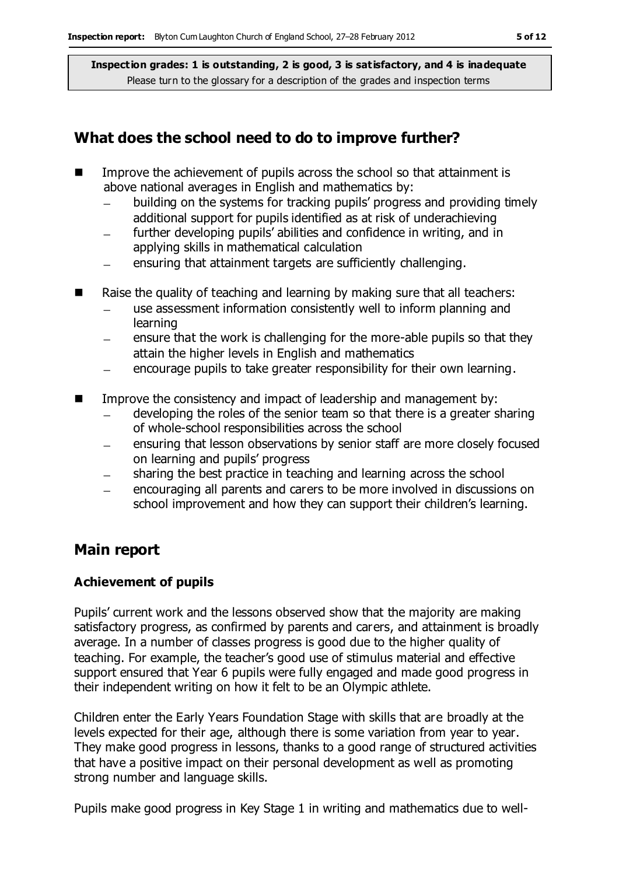### **What does the school need to do to improve further?**

- Improve the achievement of pupils across the school so that attainment is above national averages in English and mathematics by:
	- building on the systems for tracking pupils' progress and providing timely additional support for pupils identified as at risk of underachieving
	- further developing pupils' abilities and confidence in writing, and in applying skills in mathematical calculation
	- ensuring that attainment targets are sufficiently challenging.
- Raise the quality of teaching and learning by making sure that all teachers:
	- use assessment information consistently well to inform planning and learning
	- ensure that the work is challenging for the more-able pupils so that they attain the higher levels in English and mathematics
	- encourage pupils to take greater responsibility for their own learning.  $-$
- **IMPROVE THE CONSTRUGGE CONSTRUGGED** Impact of leadership and management by:
	- developing the roles of the senior team so that there is a greater sharing of whole-school responsibilities across the school
	- ensuring that lesson observations by senior staff are more closely focused  $\overline{\phantom{m}}$ on learning and pupils' progress
	- sharing the best practice in teaching and learning across the school  $\equiv$
	- encouraging all parents and carers to be more involved in discussions on school improvement and how they can support their children's learning.

### **Main report**

#### **Achievement of pupils**

Pupils' current work and the lessons observed show that the majority are making satisfactory progress, as confirmed by parents and carers, and attainment is broadly average. In a number of classes progress is good due to the higher quality of teaching. For example, the teacher's good use of stimulus material and effective support ensured that Year 6 pupils were fully engaged and made good progress in their independent writing on how it felt to be an Olympic athlete.

Children enter the Early Years Foundation Stage with skills that are broadly at the levels expected for their age, although there is some variation from year to year. They make good progress in lessons, thanks to a good range of structured activities that have a positive impact on their personal development as well as promoting strong number and language skills.

Pupils make good progress in Key Stage 1 in writing and mathematics due to well-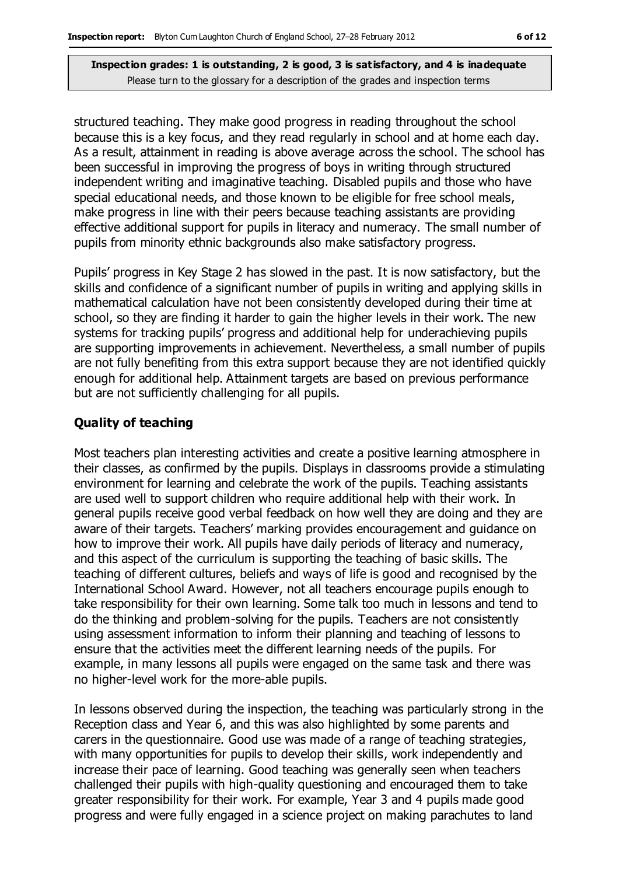structured teaching. They make good progress in reading throughout the school because this is a key focus, and they read regularly in school and at home each day. As a result, attainment in reading is above average across the school. The school has been successful in improving the progress of boys in writing through structured independent writing and imaginative teaching. Disabled pupils and those who have special educational needs, and those known to be eligible for free school meals, make progress in line with their peers because teaching assistants are providing effective additional support for pupils in literacy and numeracy. The small number of pupils from minority ethnic backgrounds also make satisfactory progress.

Pupils' progress in Key Stage 2 has slowed in the past. It is now satisfactory, but the skills and confidence of a significant number of pupils in writing and applying skills in mathematical calculation have not been consistently developed during their time at school, so they are finding it harder to gain the higher levels in their work. The new systems for tracking pupils' progress and additional help for underachieving pupils are supporting improvements in achievement. Nevertheless, a small number of pupils are not fully benefiting from this extra support because they are not identified quickly enough for additional help. Attainment targets are based on previous performance but are not sufficiently challenging for all pupils.

#### **Quality of teaching**

Most teachers plan interesting activities and create a positive learning atmosphere in their classes, as confirmed by the pupils. Displays in classrooms provide a stimulating environment for learning and celebrate the work of the pupils. Teaching assistants are used well to support children who require additional help with their work. In general pupils receive good verbal feedback on how well they are doing and they are aware of their targets. Teachers' marking provides encouragement and guidance on how to improve their work. All pupils have daily periods of literacy and numeracy, and this aspect of the curriculum is supporting the teaching of basic skills. The teaching of different cultures, beliefs and ways of life is good and recognised by the International School Award. However, not all teachers encourage pupils enough to take responsibility for their own learning. Some talk too much in lessons and tend to do the thinking and problem-solving for the pupils. Teachers are not consistently using assessment information to inform their planning and teaching of lessons to ensure that the activities meet the different learning needs of the pupils. For example, in many lessons all pupils were engaged on the same task and there was no higher-level work for the more-able pupils.

In lessons observed during the inspection, the teaching was particularly strong in the Reception class and Year 6, and this was also highlighted by some parents and carers in the questionnaire. Good use was made of a range of teaching strategies, with many opportunities for pupils to develop their skills, work independently and increase their pace of learning. Good teaching was generally seen when teachers challenged their pupils with high-quality questioning and encouraged them to take greater responsibility for their work. For example, Year 3 and 4 pupils made good progress and were fully engaged in a science project on making parachutes to land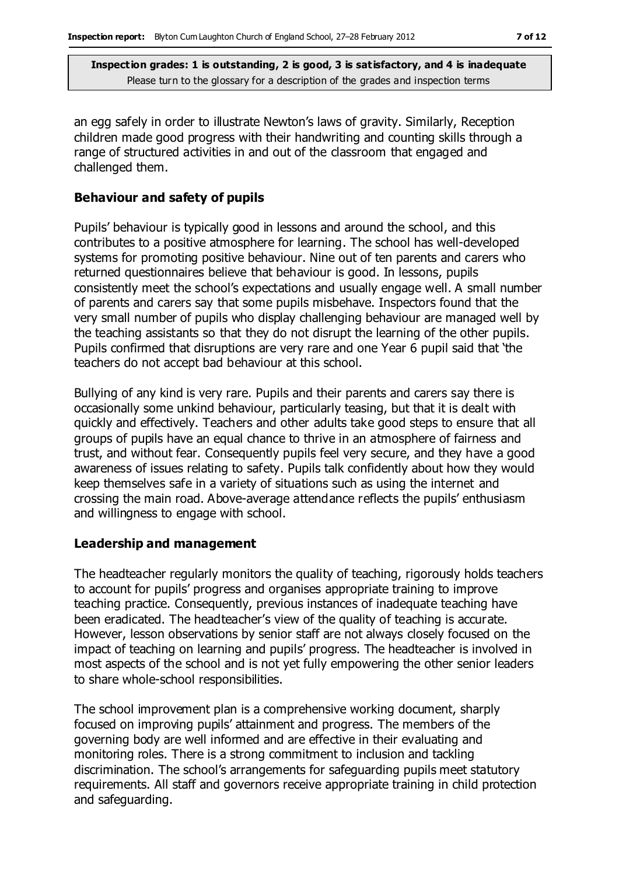an egg safely in order to illustrate Newton's laws of gravity. Similarly, Reception children made good progress with their handwriting and counting skills through a range of structured activities in and out of the classroom that engaged and challenged them.

#### **Behaviour and safety of pupils**

Pupils' behaviour is typically good in lessons and around the school, and this contributes to a positive atmosphere for learning. The school has well-developed systems for promoting positive behaviour. Nine out of ten parents and carers who returned questionnaires believe that behaviour is good. In lessons, pupils consistently meet the school's expectations and usually engage well. A small number of parents and carers say that some pupils misbehave. Inspectors found that the very small number of pupils who display challenging behaviour are managed well by the teaching assistants so that they do not disrupt the learning of the other pupils. Pupils confirmed that disruptions are very rare and one Year 6 pupil said that 'the teachers do not accept bad behaviour at this school.

Bullying of any kind is very rare. Pupils and their parents and carers say there is occasionally some unkind behaviour, particularly teasing, but that it is dealt with quickly and effectively. Teachers and other adults take good steps to ensure that all groups of pupils have an equal chance to thrive in an atmosphere of fairness and trust, and without fear. Consequently pupils feel very secure, and they have a good awareness of issues relating to safety. Pupils talk confidently about how they would keep themselves safe in a variety of situations such as using the internet and crossing the main road. Above-average attendance reflects the pupils' enthusiasm and willingness to engage with school.

#### **Leadership and management**

The headteacher regularly monitors the quality of teaching, rigorously holds teachers to account for pupils' progress and organises appropriate training to improve teaching practice. Consequently, previous instances of inadequate teaching have been eradicated. The headteacher's view of the quality of teaching is accurate. However, lesson observations by senior staff are not always closely focused on the impact of teaching on learning and pupils' progress. The headteacher is involved in most aspects of the school and is not yet fully empowering the other senior leaders to share whole-school responsibilities.

The school improvement plan is a comprehensive working document, sharply focused on improving pupils' attainment and progress. The members of the governing body are well informed and are effective in their evaluating and monitoring roles. There is a strong commitment to inclusion and tackling discrimination. The school's arrangements for safeguarding pupils meet statutory requirements. All staff and governors receive appropriate training in child protection and safeguarding.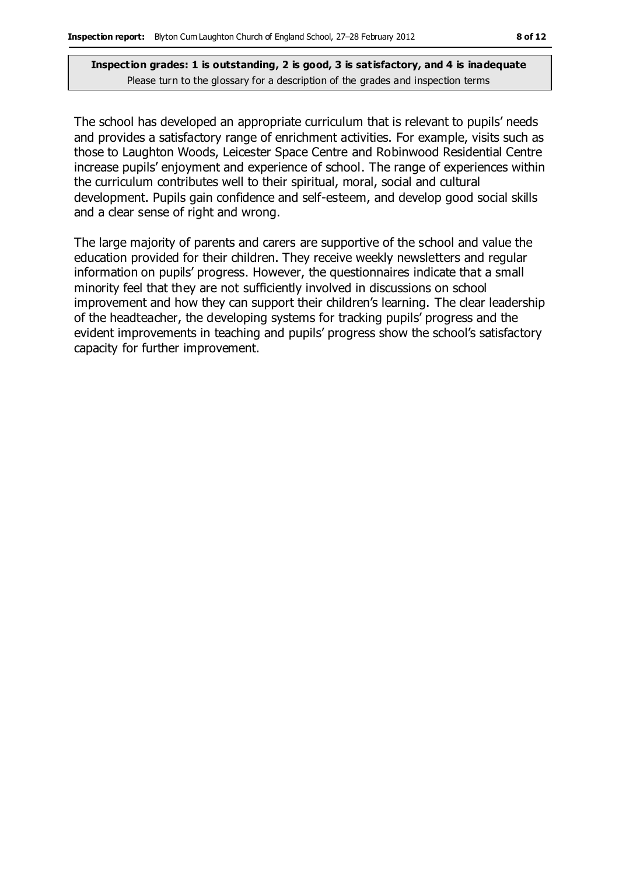The school has developed an appropriate curriculum that is relevant to pupils' needs and provides a satisfactory range of enrichment activities. For example, visits such as those to Laughton Woods, Leicester Space Centre and Robinwood Residential Centre increase pupils' enjoyment and experience of school. The range of experiences within the curriculum contributes well to their spiritual, moral, social and cultural development. Pupils gain confidence and self-esteem, and develop good social skills and a clear sense of right and wrong.

The large majority of parents and carers are supportive of the school and value the education provided for their children. They receive weekly newsletters and regular information on pupils' progress. However, the questionnaires indicate that a small minority feel that they are not sufficiently involved in discussions on school improvement and how they can support their children's learning. The clear leadership of the headteacher, the developing systems for tracking pupils' progress and the evident improvements in teaching and pupils' progress show the school's satisfactory capacity for further improvement.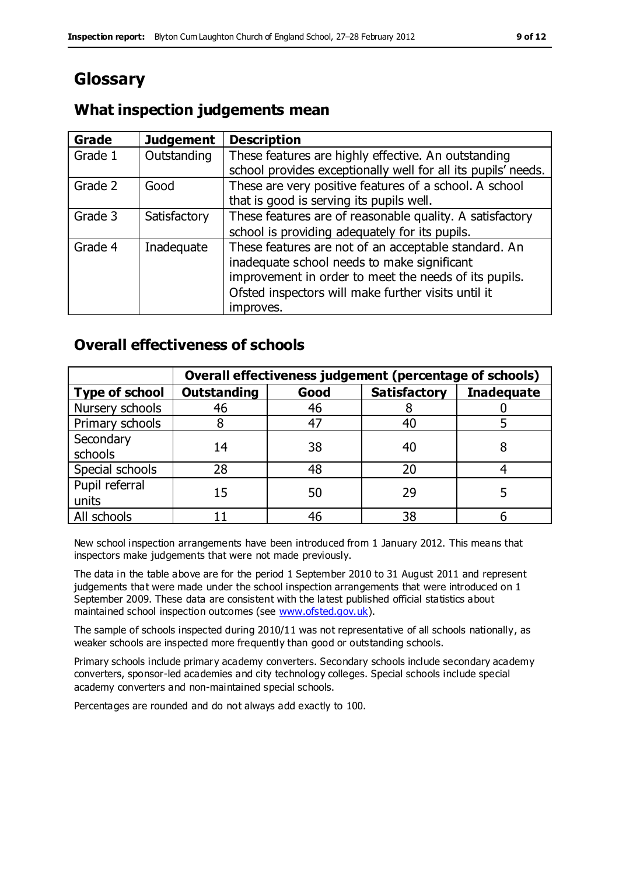# **Glossary**

### **What inspection judgements mean**

| <b>Grade</b> | <b>Judgement</b> | <b>Description</b>                                            |
|--------------|------------------|---------------------------------------------------------------|
| Grade 1      | Outstanding      | These features are highly effective. An outstanding           |
|              |                  | school provides exceptionally well for all its pupils' needs. |
| Grade 2      | Good             | These are very positive features of a school. A school        |
|              |                  | that is good is serving its pupils well.                      |
| Grade 3      | Satisfactory     | These features are of reasonable quality. A satisfactory      |
|              |                  | school is providing adequately for its pupils.                |
| Grade 4      | Inadequate       | These features are not of an acceptable standard. An          |
|              |                  | inadequate school needs to make significant                   |
|              |                  | improvement in order to meet the needs of its pupils.         |
|              |                  | Ofsted inspectors will make further visits until it           |
|              |                  | improves.                                                     |

### **Overall effectiveness of schools**

|                       | Overall effectiveness judgement (percentage of schools) |      |                     |                   |
|-----------------------|---------------------------------------------------------|------|---------------------|-------------------|
| <b>Type of school</b> | <b>Outstanding</b>                                      | Good | <b>Satisfactory</b> | <b>Inadequate</b> |
| Nursery schools       | 46                                                      | 46   |                     |                   |
| Primary schools       |                                                         | 47   | 40                  |                   |
| Secondary             | 14                                                      | 38   | 40                  |                   |
| schools               |                                                         |      |                     |                   |
| Special schools       | 28                                                      | 48   | 20                  |                   |
| Pupil referral        | 15                                                      | 50   | 29                  |                   |
| units                 |                                                         |      |                     |                   |
| All schools           |                                                         | 46   | 38                  |                   |

New school inspection arrangements have been introduced from 1 January 2012. This means that inspectors make judgements that were not made previously.

The data in the table above are for the period 1 September 2010 to 31 August 2011 and represent judgements that were made under the school inspection arrangements that were introduced on 1 September 2009. These data are consistent with the latest published official statistics about maintained school inspection outcomes (see [www.ofsted.gov.uk\)](http://www.ofsted.gov.uk/).

The sample of schools inspected during 2010/11 was not representative of all schools nationally, as weaker schools are inspected more frequently than good or outstanding schools.

Primary schools include primary academy converters. Secondary schools include secondary academy converters, sponsor-led academies and city technology colleges. Special schools include special academy converters and non-maintained special schools.

Percentages are rounded and do not always add exactly to 100.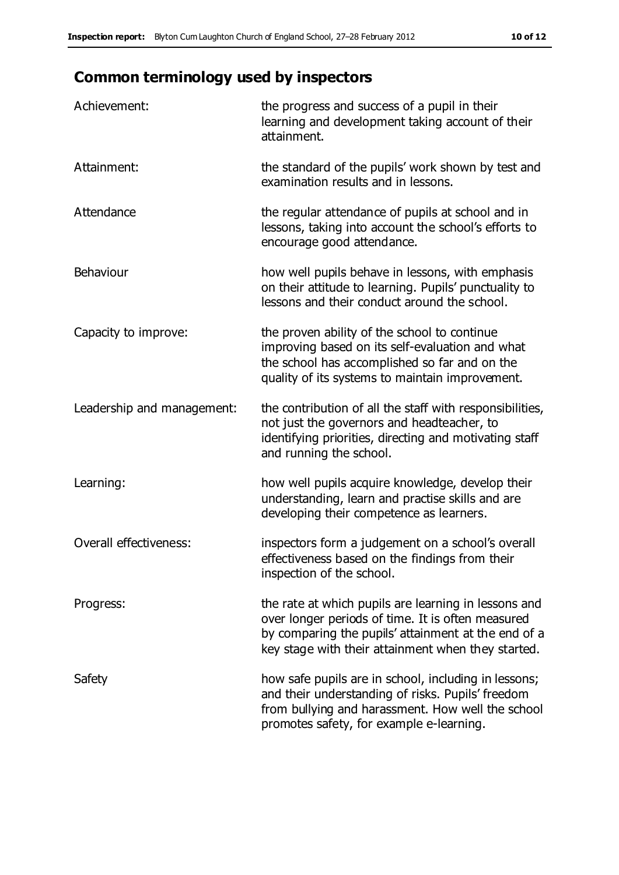# **Common terminology used by inspectors**

| Achievement:                  | the progress and success of a pupil in their<br>learning and development taking account of their<br>attainment.                                                                                                        |
|-------------------------------|------------------------------------------------------------------------------------------------------------------------------------------------------------------------------------------------------------------------|
| Attainment:                   | the standard of the pupils' work shown by test and<br>examination results and in lessons.                                                                                                                              |
| Attendance                    | the regular attendance of pupils at school and in<br>lessons, taking into account the school's efforts to<br>encourage good attendance.                                                                                |
| Behaviour                     | how well pupils behave in lessons, with emphasis<br>on their attitude to learning. Pupils' punctuality to<br>lessons and their conduct around the school.                                                              |
| Capacity to improve:          | the proven ability of the school to continue<br>improving based on its self-evaluation and what<br>the school has accomplished so far and on the<br>quality of its systems to maintain improvement.                    |
| Leadership and management:    | the contribution of all the staff with responsibilities,<br>not just the governors and headteacher, to<br>identifying priorities, directing and motivating staff<br>and running the school.                            |
| Learning:                     | how well pupils acquire knowledge, develop their<br>understanding, learn and practise skills and are<br>developing their competence as learners.                                                                       |
| <b>Overall effectiveness:</b> | inspectors form a judgement on a school's overall<br>effectiveness based on the findings from their<br>inspection of the school.                                                                                       |
| Progress:                     | the rate at which pupils are learning in lessons and<br>over longer periods of time. It is often measured<br>by comparing the pupils' attainment at the end of a<br>key stage with their attainment when they started. |
| Safety                        | how safe pupils are in school, including in lessons;<br>and their understanding of risks. Pupils' freedom<br>from bullying and harassment. How well the school<br>promotes safety, for example e-learning.             |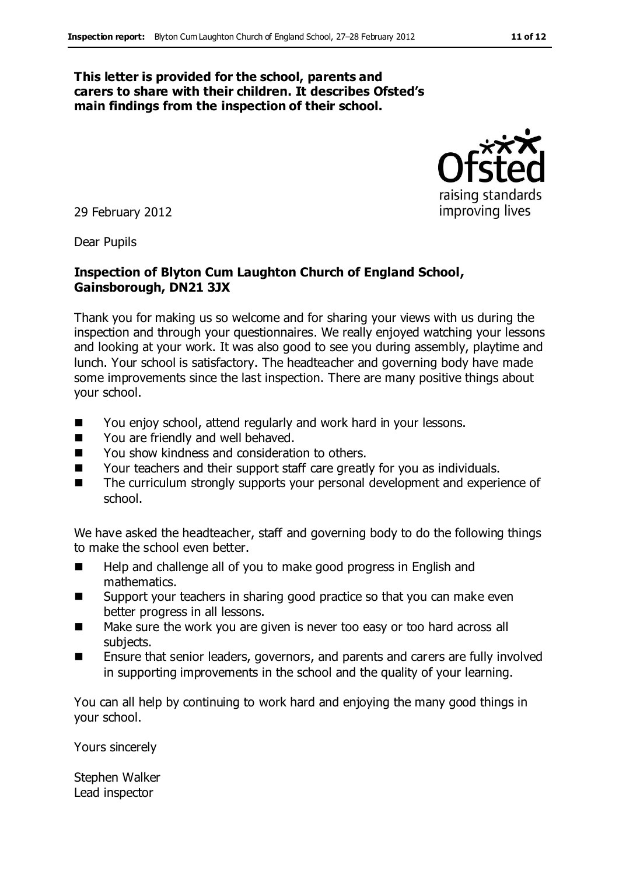#### **This letter is provided for the school, parents and carers to share with their children. It describes Ofsted's main findings from the inspection of their school.**



Dear Pupils

#### **Inspection of Blyton Cum Laughton Church of England School, Gainsborough, DN21 3JX**

Thank you for making us so welcome and for sharing your views with us during the inspection and through your questionnaires. We really enjoyed watching your lessons and looking at your work. It was also good to see you during assembly, playtime and lunch. Your school is satisfactory. The headteacher and governing body have made some improvements since the last inspection. There are many positive things about your school.

- You enjoy school, attend regularly and work hard in your lessons.
- You are friendly and well behaved.
- You show kindness and consideration to others.
- Your teachers and their support staff care greatly for you as individuals.
- The curriculum strongly supports your personal development and experience of school.

We have asked the headteacher, staff and governing body to do the following things to make the school even better.

- Help and challenge all of you to make good progress in English and mathematics.
- Support your teachers in sharing good practice so that you can make even better progress in all lessons.
- Make sure the work you are given is never too easy or too hard across all subjects.
- Ensure that senior leaders, governors, and parents and carers are fully involved in supporting improvements in the school and the quality of your learning.

You can all help by continuing to work hard and enjoying the many good things in your school.

Yours sincerely

Stephen Walker Lead inspector